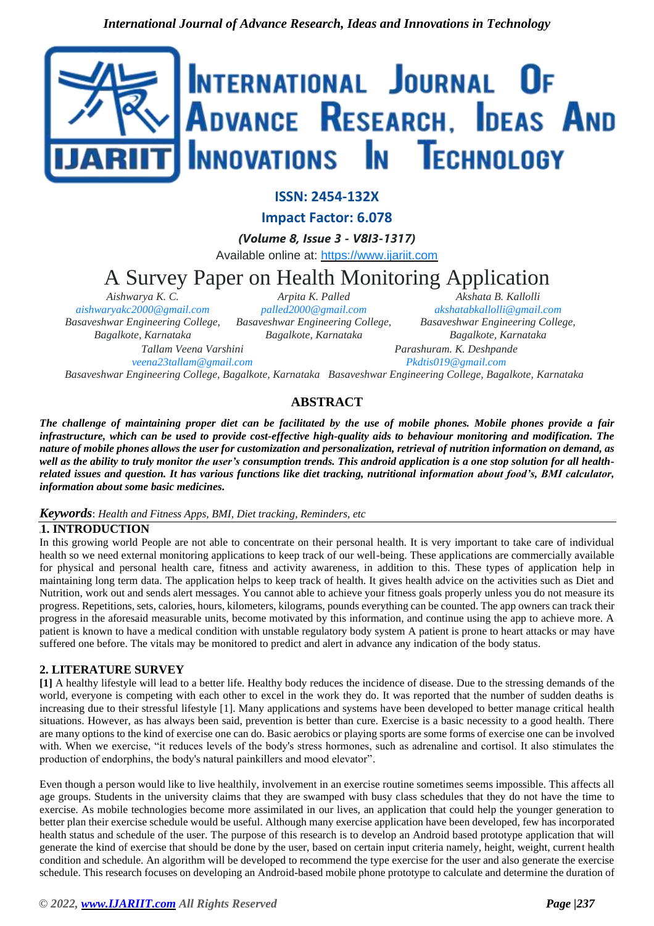

# **ISSN: 2454-132X**

**Impact Factor: 6.078**

*(Volume 8, Issue 3 - V8I3-1317)*

Available online at: [https://www.ijariit.com](https://www.ijariit.com/?utm_source=pdf&utm_medium=edition&utm_campaign=OmAkSols&utm_term=V8I3-1317)

# A Survey Paper on Health Monitoring Application

*Aishwarya K. C. [aishwaryakc2000@gmail.com](mailto:aishwaryakc2000@gmail.com) Basaveshwar Engineering College, Bagalkote, Karnataka Tallam Veena Varshini [veena23tallam@gmail.com](mailto:veena23tallam@gmail.com)*

*Arpita K. Palled [palled2000@gmail.com](mailto:palled2000@gmail.com) Basaveshwar Engineering College, Bagalkote, Karnataka*

*Akshata B. Kallolli [akshatabkallolli@gmail.com](mailto:akshatabkallolli@gmail.com) Basaveshwar Engineering College, Bagalkote, Karnataka Parashuram. K. Deshpande [Pkdtis019@gmail.com](mailto:Pkdtis019@gmail.com)*

*Basaveshwar Engineering College, Bagalkote, Karnataka Basaveshwar Engineering College, Bagalkote, Karnataka*

## **ABSTRACT**

*The challenge of maintaining proper diet can be facilitated by the use of mobile phones. Mobile phones provide a fair infrastructure, which can be used to provide cost-effective high-quality aids to behaviour monitoring and modification. The nature of mobile phones allows the user for customization and personalization, retrieval of nutrition information on demand, as well as the ability to truly monitor the user's consumption trends. This android application is a one stop solution for all healthrelated issues and question. It has various functions like diet tracking, nutritional information about food's, BMI calculator, information about some basic medicines.*

#### *Keywords*: *Health and Fitness Apps, BMI, Diet tracking, Reminders, etc*

#### **1. INTRODUCTION**

In this growing world People are not able to concentrate on their personal health. It is very important to take care of individual health so we need external monitoring applications to keep track of our well-being. These applications are commercially available for physical and personal health care, fitness and activity awareness, in addition to this. These types of application help in maintaining long term data. The application helps to keep track of health. It gives health advice on the activities such as Diet and Nutrition, work out and sends alert messages. You cannot able to achieve your fitness goals properly unless you do not measure its progress. Repetitions, sets, calories, hours, kilometers, kilograms, pounds everything can be counted. The app owners can track their progress in the aforesaid measurable units, become motivated by this information, and continue using the app to achieve more. A patient is known to have a medical condition with unstable regulatory body system A patient is prone to heart attacks or may have suffered one before. The vitals may be monitored to predict and alert in advance any indication of the body status.

#### **2. LITERATURE SURVEY**

**[1]** A healthy lifestyle will lead to a better life. Healthy body reduces the incidence of disease. Due to the stressing demands of the world, everyone is competing with each other to excel in the work they do. It was reported that the number of sudden deaths is increasing due to their stressful lifestyle [1]. Many applications and systems have been developed to better manage critical health situations. However, as has always been said, prevention is better than cure. Exercise is a basic necessity to a good health. There are many options to the kind of exercise one can do. Basic aerobics or playing sports are some forms of exercise one can be involved with. When we exercise, "it reduces levels of the body's stress hormones, such as adrenaline and cortisol. It also stimulates the production of endorphins, the body's natural painkillers and mood elevator".

Even though a person would like to live healthily, involvement in an exercise routine sometimes seems impossible. This affects all age groups. Students in the university claims that they are swamped with busy class schedules that they do not have the time to exercise. As mobile technologies become more assimilated in our lives, an application that could help the younger generation to better plan their exercise schedule would be useful. Although many exercise application have been developed, few has incorporated health status and schedule of the user. The purpose of this research is to develop an Android based prototype application that will generate the kind of exercise that should be done by the user, based on certain input criteria namely, height, weight, current health condition and schedule. An algorithm will be developed to recommend the type exercise for the user and also generate the exercise schedule. This research focuses on developing an Android-based mobile phone prototype to calculate and determine the duration of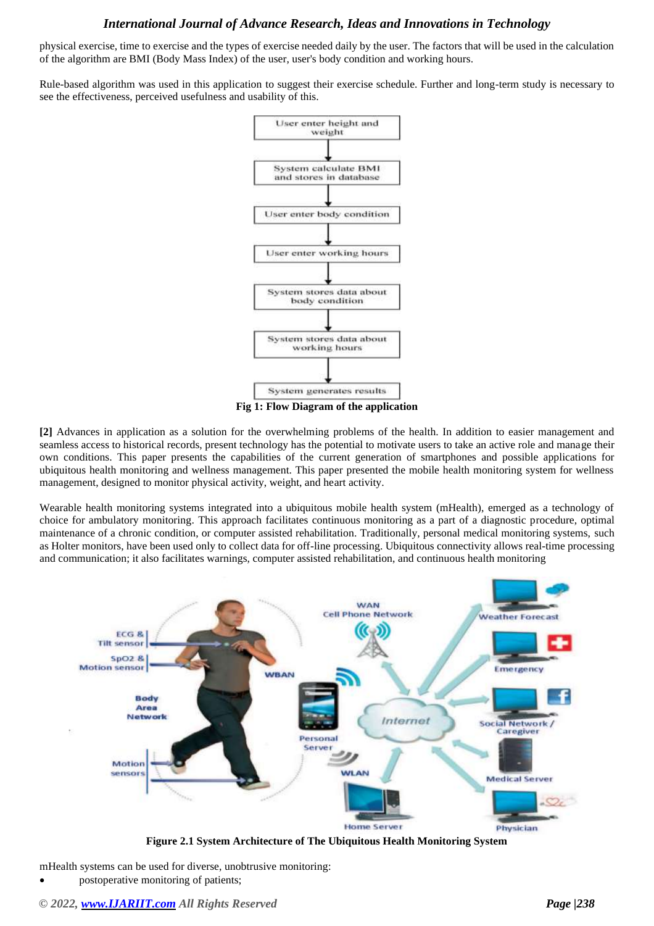physical exercise, time to exercise and the types of exercise needed daily by the user. The factors that will be used in the calculation of the algorithm are BMI (Body Mass Index) of the user, user's body condition and working hours.

Rule-based algorithm was used in this application to suggest their exercise schedule. Further and long-term study is necessary to see the effectiveness, perceived usefulness and usability of this.



**[2]** Advances in application as a solution for the overwhelming problems of the health. In addition to easier management and seamless access to historical records, present technology has the potential to motivate users to take an active role and manage their own conditions. This paper presents the capabilities of the current generation of smartphones and possible applications for ubiquitous health monitoring and wellness management. This paper presented the mobile health monitoring system for wellness management, designed to monitor physical activity, weight, and heart activity.

Wearable health monitoring systems integrated into a ubiquitous mobile health system (mHealth), emerged as a technology of choice for ambulatory monitoring. This approach facilitates continuous monitoring as a part of a diagnostic procedure, optimal maintenance of a chronic condition, or computer assisted rehabilitation. Traditionally, personal medical monitoring systems, such as Holter monitors, have been used only to collect data for off-line processing. Ubiquitous connectivity allows real-time processing and communication; it also facilitates warnings, computer assisted rehabilitation, and continuous health monitoring



**Figure 2.1 System Architecture of The Ubiquitous Health Monitoring System**

mHealth systems can be used for diverse, unobtrusive monitoring:

• postoperative monitoring of patients;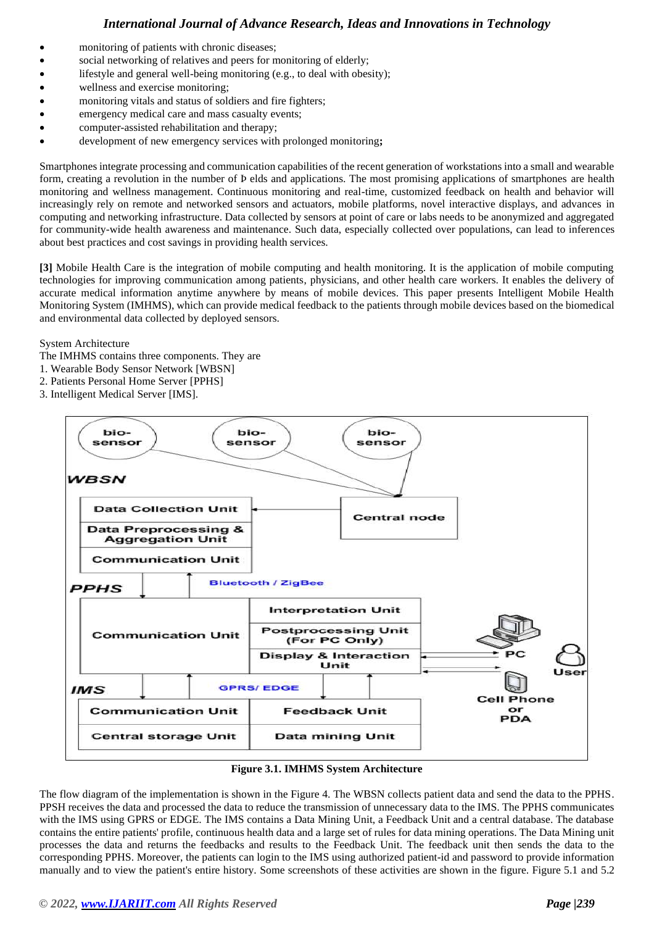- monitoring of patients with chronic diseases;
- social networking of relatives and peers for monitoring of elderly;
- lifestyle and general well-being monitoring (e.g., to deal with obesity);
- wellness and exercise monitoring;
- monitoring vitals and status of soldiers and fire fighters;
- emergency medical care and mass casualty events;
- computer-assisted rehabilitation and therapy;
- development of new emergency services with prolonged monitoring**;**

Smartphones integrate processing and communication capabilities of the recent generation of workstations into a small and wearable form, creating a revolution in the number of Þ elds and applications. The most promising applications of smartphones are health monitoring and wellness management. Continuous monitoring and real-time, customized feedback on health and behavior will increasingly rely on remote and networked sensors and actuators, mobile platforms, novel interactive displays, and advances in computing and networking infrastructure. Data collected by sensors at point of care or labs needs to be anonymized and aggregated for community-wide health awareness and maintenance. Such data, especially collected over populations, can lead to inferences about best practices and cost savings in providing health services.

**[3]** Mobile Health Care is the integration of mobile computing and health monitoring. It is the application of mobile computing technologies for improving communication among patients, physicians, and other health care workers. It enables the delivery of accurate medical information anytime anywhere by means of mobile devices. This paper presents Intelligent Mobile Health Monitoring System (IMHMS), which can provide medical feedback to the patients through mobile devices based on the biomedical and environmental data collected by deployed sensors.

#### System Architecture

The IMHMS contains three components. They are

- 1. Wearable Body Sensor Network [WBSN]
- 2. Patients Personal Home Server [PPHS]
- 3. Intelligent Medical Server [IMS].



**Figure 3.1. IMHMS System Architecture**

The flow diagram of the implementation is shown in the Figure 4. The WBSN collects patient data and send the data to the PPHS. PPSH receives the data and processed the data to reduce the transmission of unnecessary data to the IMS. The PPHS communicates with the IMS using GPRS or EDGE. The IMS contains a Data Mining Unit, a Feedback Unit and a central database. The database contains the entire patients' profile, continuous health data and a large set of rules for data mining operations. The Data Mining unit processes the data and returns the feedbacks and results to the Feedback Unit. The feedback unit then sends the data to the corresponding PPHS. Moreover, the patients can login to the IMS using authorized patient-id and password to provide information manually and to view the patient's entire history. Some screenshots of these activities are shown in the figure. Figure 5.1 and 5.2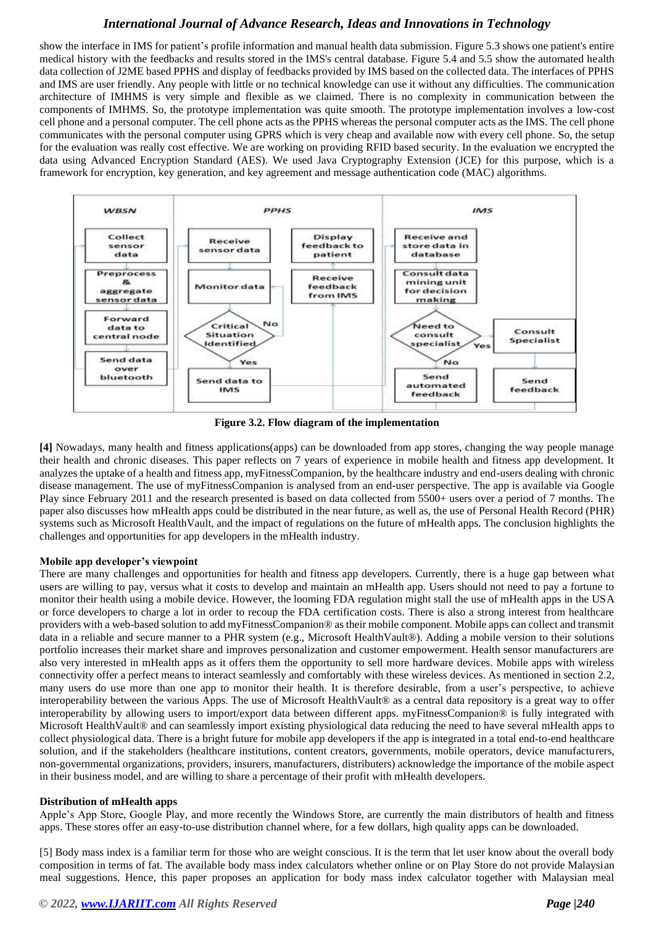show the interface in IMS for patient's profile information and manual health data submission. Figure 5.3 shows one patient's entire medical history with the feedbacks and results stored in the IMS's central database. Figure 5.4 and 5.5 show the automated health data collection of J2ME based PPHS and display of feedbacks provided by IMS based on the collected data. The interfaces of PPHS and IMS are user friendly. Any people with little or no technical knowledge can use it without any difficulties. The communication architecture of IMHMS is very simple and flexible as we claimed. There is no complexity in communication between the components of IMHMS. So, the prototype implementation was quite smooth. The prototype implementation involves a low-cost cell phone and a personal computer. The cell phone acts as the PPHS whereas the personal computer acts as the IMS. The cell phone communicates with the personal computer using GPRS which is very cheap and available now with every cell phone. So, the setup for the evaluation was really cost effective. We are working on providing RFID based security. In the evaluation we encrypted the data using Advanced Encryption Standard (AES). We used Java Cryptography Extension (JCE) for this purpose, which is a framework for encryption, key generation, and key agreement and message authentication code (MAC) algorithms.



**Figure 3.2. Flow diagram of the implementation**

**[4]** Nowadays, many health and fitness applications(apps) can be downloaded from app stores, changing the way people manage their health and chronic diseases. This paper reflects on 7 years of experience in mobile health and fitness app development. It analyzes the uptake of a health and fitness app, myFitnessCompanion, by the healthcare industry and end-users dealing with chronic disease management. The use of myFitnessCompanion is analysed from an end-user perspective. The app is available via Google Play since February 2011 and the research presented is based on data collected from 5500+ users over a period of 7 months. The paper also discusses how mHealth apps could be distributed in the near future, as well as, the use of Personal Health Record (PHR) systems such as Microsoft HealthVault, and the impact of regulations on the future of mHealth apps. The conclusion highlights the challenges and opportunities for app developers in the mHealth industry.

#### **Mobile app developer's viewpoint**

There are many challenges and opportunities for health and fitness app developers. Currently, there is a huge gap between what users are willing to pay, versus what it costs to develop and maintain an mHealth app. Users should not need to pay a fortune to monitor their health using a mobile device. However, the looming FDA regulation might stall the use of mHealth apps in the USA or force developers to charge a lot in order to recoup the FDA certification costs. There is also a strong interest from healthcare providers with a web-based solution to add myFitnessCompanion® as their mobile component. Mobile apps can collect and transmit data in a reliable and secure manner to a PHR system (e.g., Microsoft HealthVault®). Adding a mobile version to their solutions portfolio increases their market share and improves personalization and customer empowerment. Health sensor manufacturers are also very interested in mHealth apps as it offers them the opportunity to sell more hardware devices. Mobile apps with wireless connectivity offer a perfect means to interact seamlessly and comfortably with these wireless devices. As mentioned in section 2.2, many users do use more than one app to monitor their health. It is therefore desirable, from a user's perspective, to achieve interoperability between the various Apps. The use of Microsoft HealthVault® as a central data repository is a great way to offer interoperability by allowing users to import/export data between different apps. myFitnessCompanion® is fully integrated with Microsoft HealthVault® and can seamlessly import existing physiological data reducing the need to have several mHealth apps to collect physiological data. There is a bright future for mobile app developers if the app is integrated in a total end-to-end healthcare solution, and if the stakeholders (healthcare institutions, content creators, governments, mobile operators, device manufacturers, non-governmental organizations, providers, insurers, manufacturers, distributers) acknowledge the importance of the mobile aspect in their business model, and are willing to share a percentage of their profit with mHealth developers.

#### **Distribution of mHealth apps**

Apple's App Store, Google Play, and more recently the Windows Store, are currently the main distributors of health and fitness apps. These stores offer an easy-to-use distribution channel where, for a few dollars, high quality apps can be downloaded.

[5] Body mass index is a familiar term for those who are weight conscious. It is the term that let user know about the overall body composition in terms of fat. The available body mass index calculators whether online or on Play Store do not provide Malaysian meal suggestions. Hence, this paper proposes an application for body mass index calculator together with Malaysian meal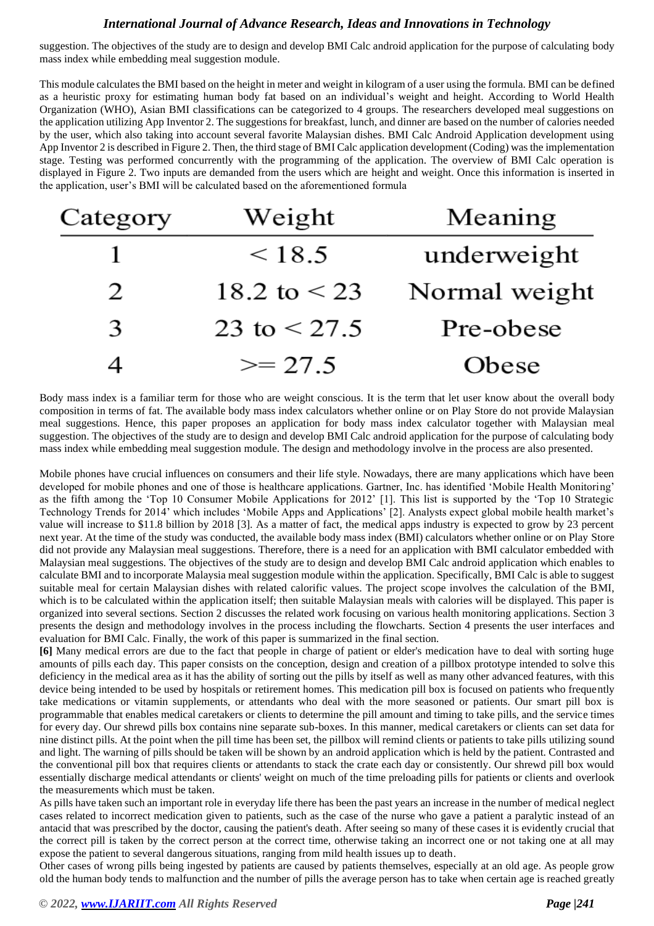suggestion. The objectives of the study are to design and develop BMI Calc android application for the purpose of calculating body mass index while embedding meal suggestion module.

This module calculates the BMI based on the height in meter and weight in kilogram of a user using the formula. BMI can be defined as a heuristic proxy for estimating human body fat based on an individual's weight and height. According to World Health Organization (WHO), Asian BMI classifications can be categorized to 4 groups. The researchers developed meal suggestions on the application utilizing App Inventor 2. The suggestions for breakfast, lunch, and dinner are based on the number of calories needed by the user, which also taking into account several favorite Malaysian dishes. BMI Calc Android Application development using App Inventor 2 is described in Figure 2. Then, the third stage of BMI Calc application development (Coding) was the implementation stage. Testing was performed concurrently with the programming of the application. The overview of BMI Calc operation is displayed in Figure 2. Two inputs are demanded from the users which are height and weight. Once this information is inserted in the application, user's BMI will be calculated based on the aforementioned formula



Body mass index is a familiar term for those who are weight conscious. It is the term that let user know about the overall body composition in terms of fat. The available body mass index calculators whether online or on Play Store do not provide Malaysian meal suggestions. Hence, this paper proposes an application for body mass index calculator together with Malaysian meal suggestion. The objectives of the study are to design and develop BMI Calc android application for the purpose of calculating body mass index while embedding meal suggestion module. The design and methodology involve in the process are also presented.

Mobile phones have crucial influences on consumers and their life style. Nowadays, there are many applications which have been developed for mobile phones and one of those is healthcare applications. Gartner, Inc. has identified 'Mobile Health Monitoring' as the fifth among the 'Top 10 Consumer Mobile Applications for 2012' [1]. This list is supported by the 'Top 10 Strategic Technology Trends for 2014' which includes 'Mobile Apps and Applications' [2]. Analysts expect global mobile health market's value will increase to \$11.8 billion by 2018 [3]. As a matter of fact, the medical apps industry is expected to grow by 23 percent next year. At the time of the study was conducted, the available body mass index (BMI) calculators whether online or on Play Store did not provide any Malaysian meal suggestions. Therefore, there is a need for an application with BMI calculator embedded with Malaysian meal suggestions. The objectives of the study are to design and develop BMI Calc android application which enables to calculate BMI and to incorporate Malaysia meal suggestion module within the application. Specifically, BMI Calc is able to suggest suitable meal for certain Malaysian dishes with related calorific values. The project scope involves the calculation of the BMI, which is to be calculated within the application itself; then suitable Malaysian meals with calories will be displayed. This paper is organized into several sections. Section 2 discusses the related work focusing on various health monitoring applications. Section 3 presents the design and methodology involves in the process including the flowcharts. Section 4 presents the user interfaces and evaluation for BMI Calc. Finally, the work of this paper is summarized in the final section.

**[6]** Many medical errors are due to the fact that people in charge of patient or elder's medication have to deal with sorting huge amounts of pills each day. This paper consists on the conception, design and creation of a pillbox prototype intended to solve this deficiency in the medical area as it has the ability of sorting out the pills by itself as well as many other advanced features, with this device being intended to be used by hospitals or retirement homes. This medication pill box is focused on patients who frequently take medications or vitamin supplements, or attendants who deal with the more seasoned or patients. Our smart pill box is programmable that enables medical caretakers or clients to determine the pill amount and timing to take pills, and the service times for every day. Our shrewd pills box contains nine separate sub-boxes. In this manner, medical caretakers or clients can set data for nine distinct pills. At the point when the pill time has been set, the pillbox will remind clients or patients to take pills utilizing sound and light. The warning of pills should be taken will be shown by an [android application](https://www.sciencedirect.com/topics/computer-science/android-application) which is held by the patient. Contrasted and the conventional pill box that requires clients or attendants to stack the crate each day or consistently. Our shrewd pill box would essentially discharge medical attendants or clients' weight on much of the time preloading pills for patients or clients and overlook the measurements which must be taken.

As pills have taken such an important role in everyday life there has been the past years an increase in the number of medical neglect cases related to incorrect medication given to patients, such as the case of the nurse who gave a patient a paralytic instead of an antacid that was prescribed by the doctor, causing the patient's death. After seeing so many of these cases it is evidently crucial that the correct pill is taken by the correct person at the correct time, otherwise taking an incorrect one or not taking one at all may expose the patient to several dangerous situations, ranging from mild health issues up to death.

Other cases of wrong pills being ingested by patients are caused by patients themselves, especially at an old age. As people grow old the human body tends to malfunction and the number of pills the average person has to take when certain age is reached greatly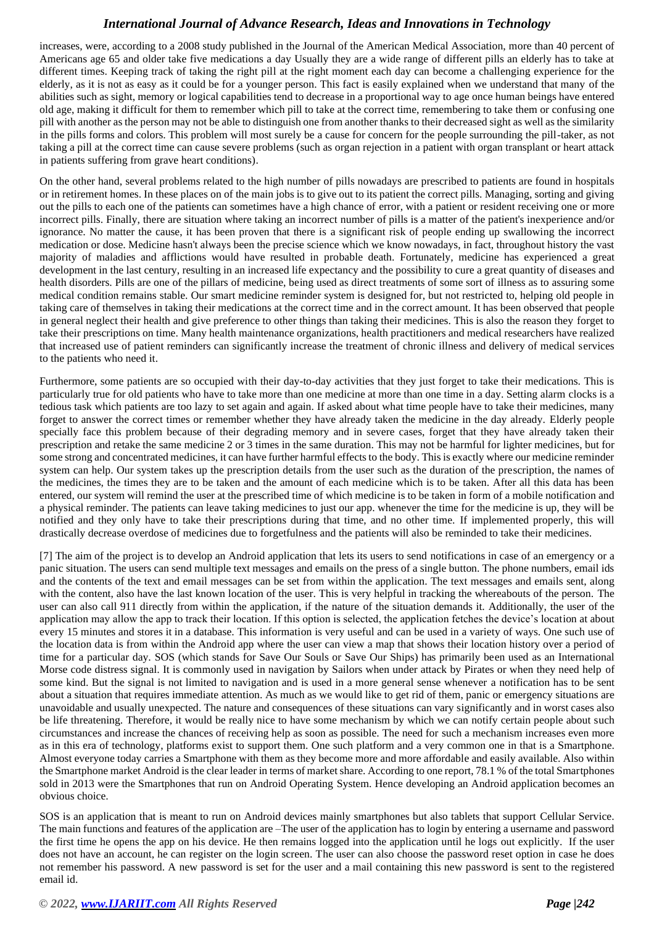increases, were, according to a 2008 study published in the Journal of the American Medical Association, more than 40 percent of Americans age 65 and older take five medications a day Usually they are a wide range of different pills an elderly has to take at different times. Keeping track of taking the right pill at the right moment each day can become a challenging experience for the elderly, as it is not as easy as it could be for a younger person. This fact is easily explained when we understand that many of the abilities such as sight, memory or logical capabilities tend to decrease in a proportional way to age once human beings have entered old age, making it difficult for them to remember which pill to take at the correct time, remembering to take them or confusing one pill with another as the person may not be able to distinguish one from another thanks to their decreased sight as well as the similarity in the pills forms and colors. This problem will most surely be a cause for concern for the people surrounding the pill-taker, as not taking a pill at the correct time can cause severe problems (such as organ rejection in a patient with organ transplant or heart attack in patients suffering from grave heart conditions).

On the other hand, several problems related to the high number of pills nowadays are prescribed to patients are found in hospitals or in retirement homes. In these places on of the main jobs is to give out to its patient the correct pills. Managing, sorting and giving out the pills to each one of the patients can sometimes have a high chance of error, with a patient or resident receiving one or more incorrect pills. Finally, there are situation where taking an incorrect number of pills is a matter of the patient's inexperience and/or ignorance. No matter the cause, it has been proven that there is a significant risk of people ending up swallowing the incorrect medication or dose. Medicine hasn't always been the precise science which we know nowadays, in fact, throughout history the vast majority of maladies and afflictions would have resulted in probable death. Fortunately, medicine has experienced a great development in the last century, resulting in an increased life expectancy and the possibility to cure a great quantity of diseases and health disorders. Pills are one of the pillars of medicine, being used as direct treatments of some sort of illness as to assuring some medical condition remains stable. Our smart medicine reminder system is designed for, but not restricted to, helping old people in taking care of themselves in taking their medications at the correct time and in the correct amount. It has been observed that people in general neglect their health and give preference to other things than taking their medicines. This is also the reason they forget to take their prescriptions on time. Many health maintenance organizations, health practitioners and medical researchers have realized that increased use of patient reminders can significantly increase the treatment of chronic illness and delivery of medical services to the patients who need it.

Furthermore, some patients are so occupied with their day-to-day activities that they just forget to take their medications. This is particularly true for old patients who have to take more than one medicine at more than one time in a day. Setting alarm clocks is a tedious task which patients are too lazy to set again and again. If asked about what time people have to take their medicines, many forget to answer the correct times or remember whether they have already taken the medicine in the day already. Elderly people specially face this problem because of their degrading memory and in severe cases, forget that they have already taken their prescription and retake the same medicine 2 or 3 times in the same duration. This may not be harmful for lighter medicines, but for some strong and concentrated medicines, it can have further harmful effects to the body. This is exactly where our medicine reminder system can help. Our system takes up the prescription details from the user such as the duration of the prescription, the names of the medicines, the times they are to be taken and the amount of each medicine which is to be taken. After all this data has been entered, our system will remind the user at the prescribed time of which medicine is to be taken in form of a mobile notification and a physical reminder. The patients can leave taking medicines to just our app. whenever the time for the medicine is up, they will be notified and they only have to take their prescriptions during that time, and no other time. If implemented properly, this will drastically decrease overdose of medicines due to forgetfulness and the patients will also be reminded to take their medicines.

[7] The aim of the project is to develop an Android application that lets its users to send notifications in case of an emergency or a panic situation. The users can send multiple text messages and emails on the press of a single button. The phone numbers, email ids and the contents of the text and email messages can be set from within the application. The text messages and emails sent, along with the content, also have the last known location of the user. This is very helpful in tracking the whereabouts of the person. The user can also call 911 directly from within the application, if the nature of the situation demands it. Additionally, the user of the application may allow the app to track their location. If this option is selected, the application fetches the device's location at about every 15 minutes and stores it in a database. This information is very useful and can be used in a variety of ways. One such use of the location data is from within the Android app where the user can view a map that shows their location history over a period of time for a particular day. SOS (which stands for Save Our Souls or Save Our Ships) has primarily been used as an International Morse code distress signal. It is commonly used in navigation by Sailors when under attack by Pirates or when they need help of some kind. But the signal is not limited to navigation and is used in a more general sense whenever a notification has to be sent about a situation that requires immediate attention. As much as we would like to get rid of them, panic or emergency situations are unavoidable and usually unexpected. The nature and consequences of these situations can vary significantly and in worst cases also be life threatening. Therefore, it would be really nice to have some mechanism by which we can notify certain people about such circumstances and increase the chances of receiving help as soon as possible. The need for such a mechanism increases even more as in this era of technology, platforms exist to support them. One such platform and a very common one in that is a Smartphone. Almost everyone today carries a Smartphone with them as they become more and more affordable and easily available. Also within the Smartphone market Android is the clear leader in terms of market share. According to one report, 78.1 % of the total Smartphones sold in 2013 were the Smartphones that run on Android Operating System. Hence developing an Android application becomes an obvious choice.

SOS is an application that is meant to run on Android devices mainly smartphones but also tablets that support Cellular Service. The main functions and features of the application are –The user of the application has to login by entering a username and password the first time he opens the app on his device. He then remains logged into the application until he logs out explicitly. If the user does not have an account, he can register on the login screen. The user can also choose the password reset option in case he does not remember his password. A new password is set for the user and a mail containing this new password is sent to the registered email id.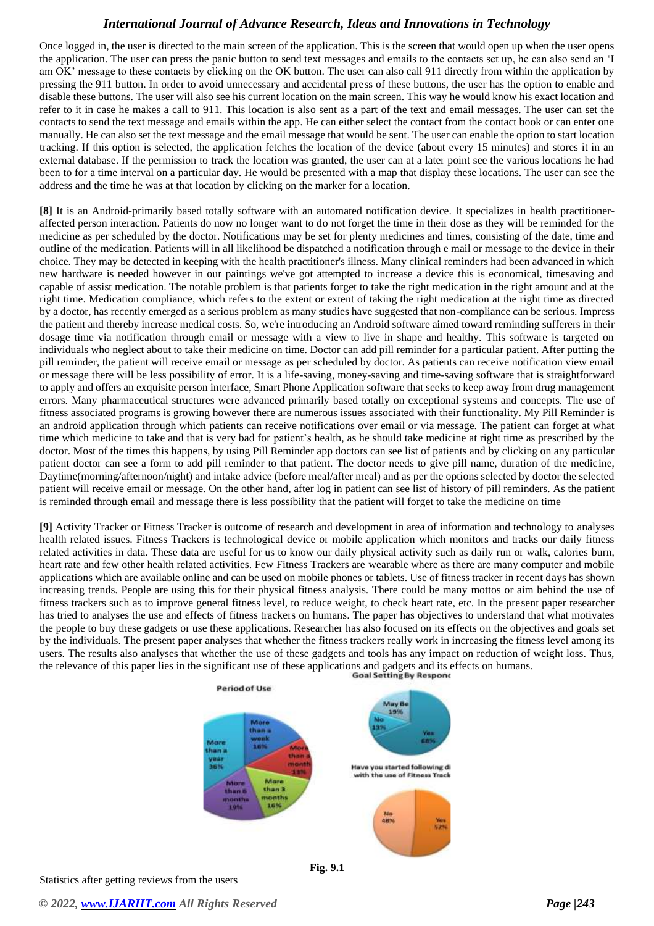Once logged in, the user is directed to the main screen of the application. This is the screen that would open up when the user opens the application. The user can press the panic button to send text messages and emails to the contacts set up, he can also send an 'I am OK' message to these contacts by clicking on the OK button. The user can also call 911 directly from within the application by pressing the 911 button. In order to avoid unnecessary and accidental press of these buttons, the user has the option to enable and disable these buttons. The user will also see his current location on the main screen. This way he would know his exact location and refer to it in case he makes a call to 911. This location is also sent as a part of the text and email messages. The user can set the contacts to send the text message and emails within the app. He can either select the contact from the contact book or can enter one manually. He can also set the text message and the email message that would be sent. The user can enable the option to start location tracking. If this option is selected, the application fetches the location of the device (about every 15 minutes) and stores it in an external database. If the permission to track the location was granted, the user can at a later point see the various locations he had been to for a time interval on a particular day. He would be presented with a map that display these locations. The user can see the address and the time he was at that location by clicking on the marker for a location.

**[8]** It is an Android-primarily based totally software with an automated notification device. It specializes in health practitioneraffected person interaction. Patients do now no longer want to do not forget the time in their dose as they will be reminded for the medicine as per scheduled by the doctor. Notifications may be set for plenty medicines and times, consisting of the date, time and outline of the medication. Patients will in all likelihood be dispatched a notification through e mail or message to the device in their choice. They may be detected in keeping with the health practitioner's illness. Many clinical reminders had been advanced in which new hardware is needed however in our paintings we've got attempted to increase a device this is economical, timesaving and capable of assist medication. The notable problem is that patients forget to take the right medication in the right amount and at the right time. Medication compliance, which refers to the extent or extent of taking the right medication at the right time as directed by a doctor, has recently emerged as a serious problem as many studies have suggested that non-compliance can be serious. Impress the patient and thereby increase medical costs. So, we're introducing an Android software aimed toward reminding sufferers in their dosage time via notification through email or message with a view to live in shape and healthy. This software is targeted on individuals who neglect about to take their medicine on time. Doctor can add pill reminder for a particular patient. After putting the pill reminder, the patient will receive email or message as per scheduled by doctor. As patients can receive notification view email or message there will be less possibility of error. It is a life-saving, money-saving and time-saving software that is straightforward to apply and offers an exquisite person interface, Smart Phone Application software that seeks to keep away from drug management errors. Many pharmaceutical structures were advanced primarily based totally on exceptional systems and concepts. The use of fitness associated programs is growing however there are numerous issues associated with their functionality. My Pill Reminder is an android application through which patients can receive notifications over email or via message. The patient can forget at what time which medicine to take and that is very bad for patient's health, as he should take medicine at right time as prescribed by the doctor. Most of the times this happens, by using Pill Reminder app doctors can see list of patients and by clicking on any particular patient doctor can see a form to add pill reminder to that patient. The doctor needs to give pill name, duration of the medicine, Daytime(morning/afternoon/night) and intake advice (before meal/after meal) and as per the options selected by doctor the selected patient will receive email or message. On the other hand, after log in patient can see list of history of pill reminders. As the patient is reminded through email and message there is less possibility that the patient will forget to take the medicine on time

**[9]** Activity Tracker or Fitness Tracker is outcome of research and development in area of information and technology to analyses health related issues. Fitness Trackers is technological device or mobile application which monitors and tracks our daily fitness related activities in data. These data are useful for us to know our daily physical activity such as daily run or walk, calories burn, heart rate and few other health related activities. Few Fitness Trackers are wearable where as there are many computer and mobile applications which are available online and can be used on mobile phones or tablets. Use of fitness tracker in recent days has shown increasing trends. People are using this for their physical fitness analysis. There could be many mottos or aim behind the use of fitness trackers such as to improve general fitness level, to reduce weight, to check heart rate, etc. In the present paper researcher has tried to analyses the use and effects of fitness trackers on humans. The paper has objectives to understand that what motivates the people to buy these gadgets or use these applications. Researcher has also focused on its effects on the objectives and goals set by the individuals. The present paper analyses that whether the fitness trackers really work in increasing the fitness level among its users. The results also analyses that whether the use of these gadgets and tools has any impact on reduction of weight loss. Thus, the relevance of this paper lies in the significant use of these applications and gadgets and its effects on humans.